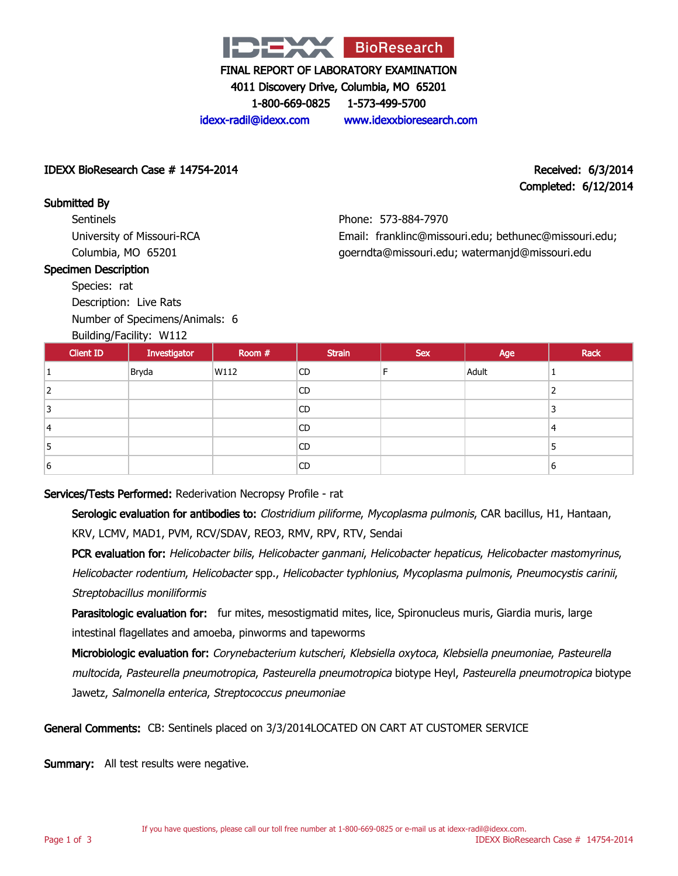

4011 Discovery Drive, Columbia, MO 65201

1-800-669-0825 1-573-499-5700

idexx-radil@idexx.com www.idexxbioresearch.com

#### IDEXX BioResearch Case # 14754-2014 Received: 6/3/2014

# Completed: 6/12/2014

Submitted By **Sentinels** University of Missouri-RCA Columbia, MO 65201

#### Specimen Description

Species: rat

Description: Live Rats

Number of Specimens/Animals: 6

# Building/Facility: W112

Phone: 573-884-7970 Email: franklinc@missouri.edu; bethunec@missouri.edu; goerndta@missouri.edu; watermanjd@missouri.edu

|                  | $50$ and $100$ and $100$ and $100$ and $100$ and $100$ and $100$ and $100$ and $100$ and $100$ and $100$ and $100$ and $100$ and $100$ and $100$ and $100$ and $100$ and $100$ and $100$ and $100$ and $100$ and $100$ and $1$ |        |               |            |       |      |
|------------------|--------------------------------------------------------------------------------------------------------------------------------------------------------------------------------------------------------------------------------|--------|---------------|------------|-------|------|
| <b>Client ID</b> | Investigator                                                                                                                                                                                                                   | Room # | <b>Strain</b> | <b>Sex</b> | Age   | Rack |
|                  | Bryda                                                                                                                                                                                                                          | W112   | CD.           | Е          | Adult |      |
|                  |                                                                                                                                                                                                                                |        | <b>CD</b>     |            |       |      |
|                  |                                                                                                                                                                                                                                |        | CD            |            |       |      |
| 14               |                                                                                                                                                                                                                                |        | <b>CD</b>     |            |       | 4    |
| ͻ                |                                                                                                                                                                                                                                |        | CD            |            |       |      |
| 6                |                                                                                                                                                                                                                                |        | CD            |            |       | 6    |
|                  |                                                                                                                                                                                                                                |        |               |            |       |      |

Services/Tests Performed: Rederivation Necropsy Profile - rat

Serologic evaluation for antibodies to: Clostridium piliforme, Mycoplasma pulmonis, CAR bacillus, H1, Hantaan, KRV, LCMV, MAD1, PVM, RCV/SDAV, REO3, RMV, RPV, RTV, Sendai

PCR evaluation for: Helicobacter bilis, Helicobacter ganmani, Helicobacter hepaticus, Helicobacter mastomyrinus, Helicobacter rodentium, Helicobacter spp., Helicobacter typhlonius, Mycoplasma pulmonis, Pneumocystis carinii, Streptobacillus moniliformis

Parasitologic evaluation for: fur mites, mesostigmatid mites, lice, Spironucleus muris, Giardia muris, large intestinal flagellates and amoeba, pinworms and tapeworms

Microbiologic evaluation for: Corynebacterium kutscheri, Klebsiella oxytoca, Klebsiella pneumoniae, Pasteurella multocida, Pasteurella pneumotropica, Pasteurella pneumotropica biotype Heyl, Pasteurella pneumotropica biotype Jawetz, Salmonella enterica, Streptococcus pneumoniae

General Comments: CB: Sentinels placed on 3/3/2014LOCATED ON CART AT CUSTOMER SERVICE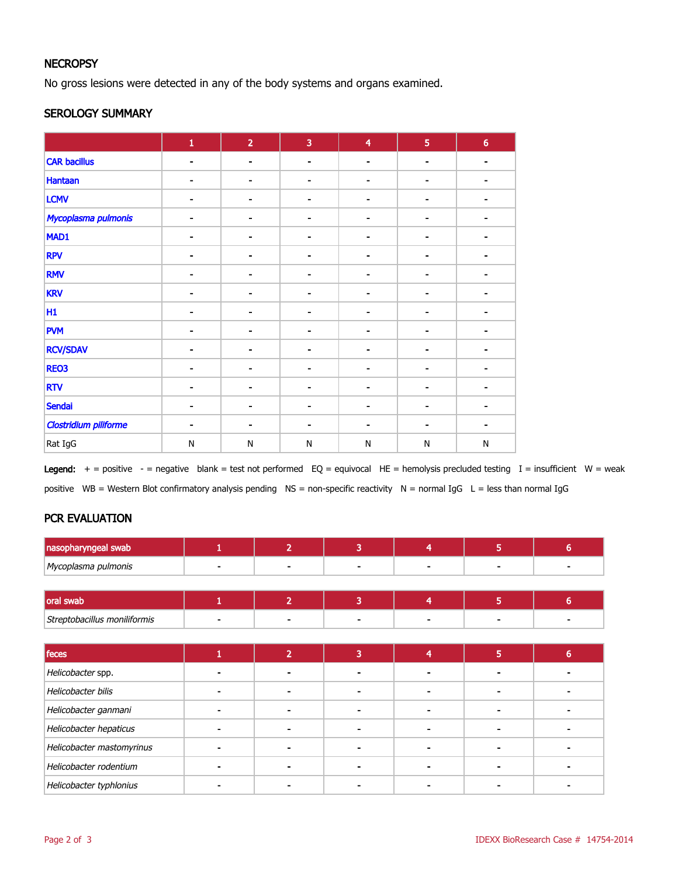#### **NECROPSY**

No gross lesions were detected in any of the body systems and organs examined.

#### SEROLOGY SUMMARY

|                              | $\mathbf 1$              | $\overline{2}$               | 3              | $\overline{\mathbf{4}}$ | $\overline{5}$           | $6\phantom{a}$ |
|------------------------------|--------------------------|------------------------------|----------------|-------------------------|--------------------------|----------------|
| <b>CAR bacillus</b>          | $\blacksquare$           | $\blacksquare$               | $\blacksquare$ | $\blacksquare$          | $\blacksquare$           |                |
| Hantaan                      | $\blacksquare$           | $\qquad \qquad \blacksquare$ | -              | -                       | $\blacksquare$           |                |
| <b>LCMV</b>                  | $\blacksquare$           | $\blacksquare$               |                | ۰                       | $\blacksquare$           |                |
| Mycoplasma pulmonis          | ۰                        | ۰                            | $\blacksquare$ | $\blacksquare$          | $\blacksquare$           |                |
| MAD1                         |                          | -                            |                |                         | ٠                        |                |
| <b>RPV</b>                   | $\blacksquare$           | $\blacksquare$               |                | $\blacksquare$          | $\blacksquare$           |                |
| <b>RMV</b>                   | $\blacksquare$           | $\blacksquare$               | $\blacksquare$ | $\blacksquare$          | $\blacksquare$           |                |
| <b>KRV</b>                   | -                        | $\overline{a}$               |                | ۰                       | $\blacksquare$           |                |
| H1                           | Ξ.                       | $\blacksquare$               |                |                         | $\blacksquare$           |                |
| <b>PVM</b>                   |                          | $\blacksquare$               |                |                         | $\blacksquare$           |                |
| <b>RCV/SDAV</b>              | $\overline{\phantom{a}}$ | $\qquad \qquad \blacksquare$ |                | -                       | $\overline{\phantom{a}}$ |                |
| <b>RE03</b>                  | $\blacksquare$           | $\qquad \qquad \blacksquare$ | $\blacksquare$ | $\blacksquare$          | $\blacksquare$           |                |
| <b>RTV</b>                   | $\blacksquare$           | $\blacksquare$               |                | ۰                       | $\blacksquare$           |                |
| <b>Sendai</b>                | ۰                        | $\qquad \qquad \blacksquare$ | -              | -                       | ٠                        |                |
| <b>Clostridium piliforme</b> |                          | $\blacksquare$               |                |                         | $\blacksquare$           |                |
| Rat IgG                      | ${\sf N}$                | ${\sf N}$                    | $\mathsf{N}$   | $\mathsf{N}$            | N                        | ${\sf N}$      |

Legend:  $+$  = positive  $-$  = negative blank = test not performed EQ = equivocal HE = hemolysis precluded testing I = insufficient W = weak positive WB = Western Blot confirmatory analysis pending NS = non-specific reactivity N = normal IgG L = less than normal IgG

# PCR EVALUATION

| nasopharyngeal swab          |                |   |   |  |
|------------------------------|----------------|---|---|--|
| Mycoplasma pulmonis          | $\blacksquare$ |   | - |  |
|                              |                |   |   |  |
| oral swab                    |                |   |   |  |
| Streptobacillus moniliformis |                | - |   |  |
|                              |                |   |   |  |

| feces                     |  |  |  |
|---------------------------|--|--|--|
| Helicobacter spp.         |  |  |  |
| Helicobacter bilis        |  |  |  |
| Helicobacter ganmani      |  |  |  |
| Helicobacter hepaticus    |  |  |  |
| Helicobacter mastomyrinus |  |  |  |
| Helicobacter rodentium    |  |  |  |
| Helicobacter typhlonius   |  |  |  |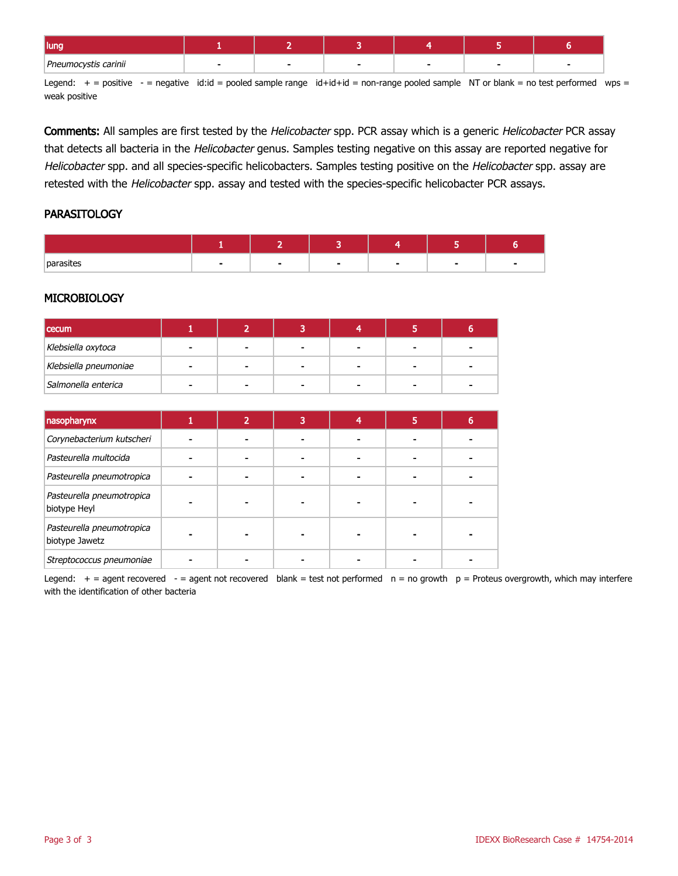| lung                 |  |  |  |
|----------------------|--|--|--|
| Pneumocystis carinii |  |  |  |

Legend:  $+$  = positive  $-$  = negative id:id = pooled sample range id+id+id = non-range pooled sample NT or blank = no test performed wps = weak positive

Comments: All samples are first tested by the Helicobacter spp. PCR assay which is a generic Helicobacter PCR assay that detects all bacteria in the Helicobacter genus. Samples testing negative on this assay are reported negative for Helicobacter spp. and all species-specific helicobacters. Samples testing positive on the Helicobacter spp. assay are retested with the Helicobacter spp. assay and tested with the species-specific helicobacter PCR assays.

#### **PARASITOLOGY**

| parasites |  |  |  |
|-----------|--|--|--|

### **MICROBIOLOGY**

| <b>cecum</b>          |  |   |   |  |
|-----------------------|--|---|---|--|
| Klebsiella oxytoca    |  | - | - |  |
| Klebsiella pneumoniae |  | - | - |  |
| Salmonella enterica   |  |   |   |  |

| nasopharynx                                 |  | 3 | 5 |  |
|---------------------------------------------|--|---|---|--|
| Corynebacterium kutscheri                   |  |   |   |  |
| Pasteurella multocida                       |  |   |   |  |
| Pasteurella pneumotropica                   |  |   |   |  |
| Pasteurella pneumotropica<br>biotype Heyl   |  |   |   |  |
| Pasteurella pneumotropica<br>biotype Jawetz |  |   |   |  |
| Streptococcus pneumoniae                    |  |   |   |  |

Legend:  $+$  = agent recovered - = agent not recovered blank = test not performed  $n = no$  growth  $p =$  Proteus overgrowth, which may interfere with the identification of other bacteria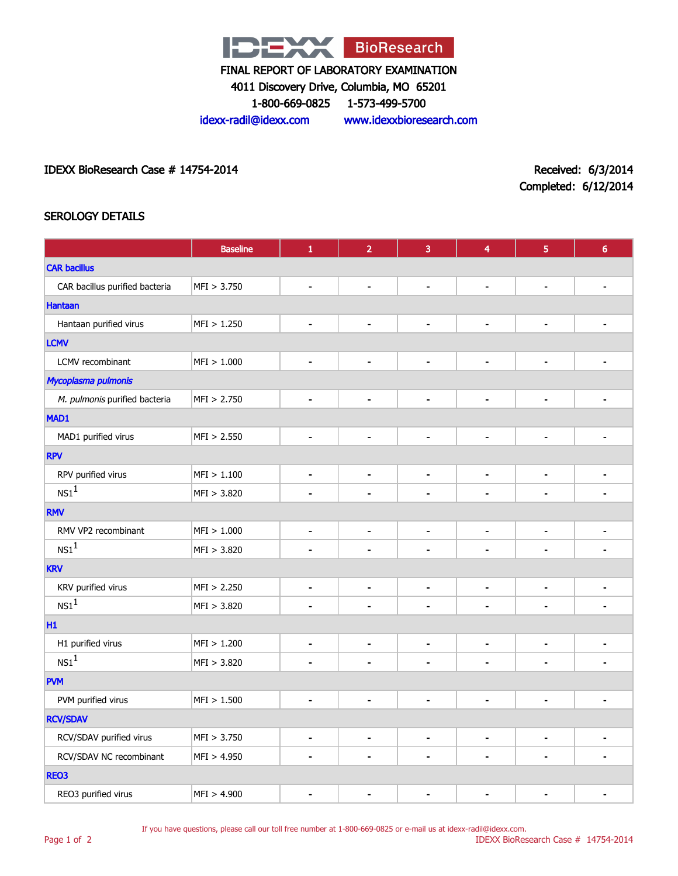

4011 Discovery Drive, Columbia, MO 65201

1-800-669-0825 1-573-499-5700

idexx-radil@idexx.com www.idexxbioresearch.com

IDEXX BioResearch Case # 14754-2014 Received: 6/3/2014

Completed: 6/12/2014

## SEROLOGY DETAILS

|                                | <b>Baseline</b> | $\mathbf 1$                  | $\overline{2}$               | 3              | 4                            | 5                        | $6\phantom{a}$ |  |
|--------------------------------|-----------------|------------------------------|------------------------------|----------------|------------------------------|--------------------------|----------------|--|
| <b>CAR bacillus</b>            |                 |                              |                              |                |                              |                          |                |  |
| CAR bacillus purified bacteria | MFI > 3.750     | $\blacksquare$               | $\overline{\phantom{0}}$     | $\blacksquare$ | $\qquad \qquad \blacksquare$ | $\overline{\phantom{a}}$ |                |  |
| <b>Hantaan</b>                 |                 |                              |                              |                |                              |                          |                |  |
| Hantaan purified virus         | MFI > 1.250     | ٠                            | $\blacksquare$               | $\blacksquare$ | $\blacksquare$               | $\blacksquare$           |                |  |
| <b>LCMV</b>                    |                 |                              |                              |                |                              |                          |                |  |
| LCMV recombinant               | MFI > 1.000     | $\qquad \qquad \blacksquare$ | $\blacksquare$               | $\blacksquare$ | $\blacksquare$               | $\overline{\phantom{a}}$ |                |  |
| Mycoplasma pulmonis            |                 |                              |                              |                |                              |                          |                |  |
| M. pulmonis purified bacteria  | MFI > 2.750     | $\qquad \qquad \blacksquare$ | $\overline{\phantom{0}}$     | $\blacksquare$ | $\qquad \qquad \blacksquare$ | $\blacksquare$           |                |  |
| MAD1                           |                 |                              |                              |                |                              |                          |                |  |
| MAD1 purified virus            | MFI > 2.550     | ٠                            | $\blacksquare$               | $\blacksquare$ | ۰                            | $\blacksquare$           |                |  |
| <b>RPV</b>                     |                 |                              |                              |                |                              |                          |                |  |
| RPV purified virus             | MFI > 1.100     | $\blacksquare$               | $\blacksquare$               | $\blacksquare$ | $\blacksquare$               | $\blacksquare$           |                |  |
| $\text{NS1}^1$                 | MFI > 3.820     | $\blacksquare$               | $\blacksquare$               | $\blacksquare$ | ÷                            | $\blacksquare$           |                |  |
| <b>RMV</b>                     |                 |                              |                              |                |                              |                          |                |  |
| RMV VP2 recombinant            | MFI > 1.000     | $\blacksquare$               | $\blacksquare$               | $\blacksquare$ | $\blacksquare$               | $\blacksquare$           | -              |  |
| $NS1^1$                        | MFI > 3.820     |                              |                              |                |                              |                          |                |  |
| <b>KRV</b>                     |                 |                              |                              |                |                              |                          |                |  |
| KRV purified virus             | MFI > 2.250     | $\blacksquare$               | $\blacksquare$               | $\blacksquare$ | $\blacksquare$               | $\blacksquare$           |                |  |
| $\text{NS1}^1$                 | MFI > 3.820     | $\blacksquare$               | ä,                           | $\blacksquare$ | ÷                            | $\blacksquare$           |                |  |
| H1                             |                 |                              |                              |                |                              |                          |                |  |
| H1 purified virus              | MFI > 1.200     | $\blacksquare$               | $\blacksquare$               | $\blacksquare$ | $\blacksquare$               | $\blacksquare$           |                |  |
| $\text{NS1}^1$                 | MFI > 3.820     | $\blacksquare$               | $\blacksquare$               | $\blacksquare$ | $\blacksquare$               | $\blacksquare$           |                |  |
| <b>PVM</b>                     |                 |                              |                              |                |                              |                          |                |  |
| PVM purified virus             | MFI > 1.500     | $\blacksquare$               | $\blacksquare$               | $\blacksquare$ | $\blacksquare$               | $\blacksquare$           |                |  |
| <b>RCV/SDAV</b>                |                 |                              |                              |                |                              |                          |                |  |
| RCV/SDAV purified virus        | MFI > 3.750     | $\overline{\phantom{a}}$     | $\qquad \qquad \blacksquare$ | $\blacksquare$ | $\blacksquare$               | $\overline{\phantom{a}}$ |                |  |
| RCV/SDAV NC recombinant        | MFI > 4.950     |                              | $\blacksquare$               | $\blacksquare$ | $\blacksquare$               | $\blacksquare$           |                |  |
| REO3                           |                 |                              |                              |                |                              |                          |                |  |
| REO3 purified virus            | MFI > 4.900     |                              |                              |                |                              |                          |                |  |

If you have questions, please call our toll free number at 1-800-669-0825 or e-mail us at idexx-radil@idexx.com.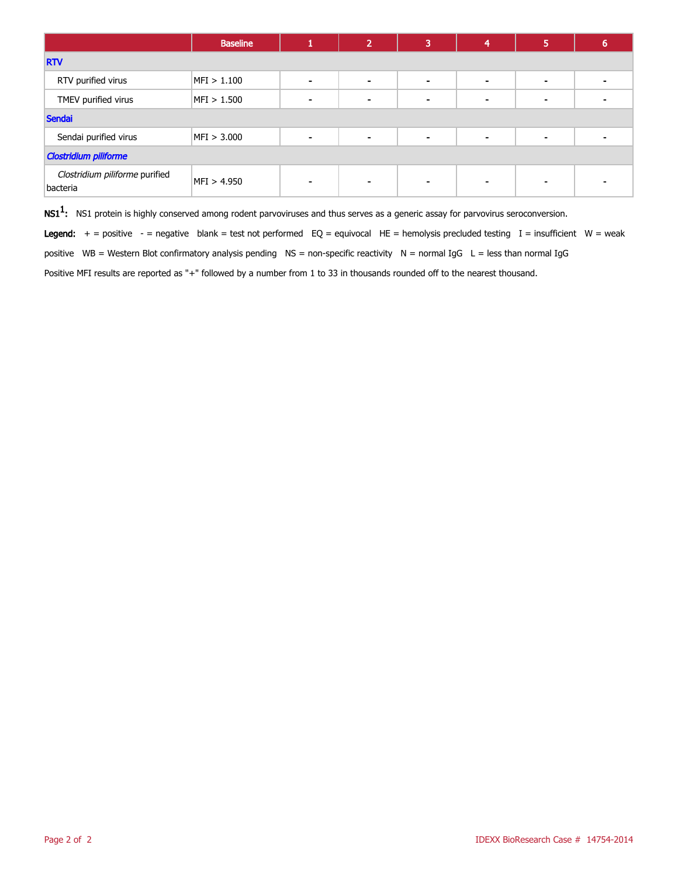|                                            | <b>Baseline</b> |                          | $\overline{2}$ | 3              | 4 | 5                        | b |
|--------------------------------------------|-----------------|--------------------------|----------------|----------------|---|--------------------------|---|
| <b>RTV</b>                                 |                 |                          |                |                |   |                          |   |
| RTV purified virus                         | MFI > 1.100     |                          | $\,$           | $\,$ $\,$      |   | ۰                        |   |
| TMEV purified virus                        | MFI > 1.500     |                          | $\blacksquare$ | $\blacksquare$ |   | $\overline{\phantom{0}}$ |   |
| <b>Sendai</b>                              |                 |                          |                |                |   |                          |   |
| Sendai purified virus                      | MFI > 3.000     | $\overline{\phantom{a}}$ | $\blacksquare$ | $\,$ $\,$      |   | ۰                        |   |
| <b>Clostridium piliforme</b>               |                 |                          |                |                |   |                          |   |
| Clostridium piliforme purified<br>bacteria | MFI > 4.950     |                          | $\sim$         |                |   |                          |   |

 $\mathsf{NS1^1}\text{:}$  NS1 protein is highly conserved among rodent parvoviruses and thus serves as a generic assay for parvovirus seroconversion.

Legend:  $+$  = positive  $-$  = negative blank = test not performed EQ = equivocal HE = hemolysis precluded testing I = insufficient W = weak

positive WB = Western Blot confirmatory analysis pending NS = non-specific reactivity N = normal IgG L = less than normal IgG

Positive MFI results are reported as "+" followed by a number from 1 to 33 in thousands rounded off to the nearest thousand.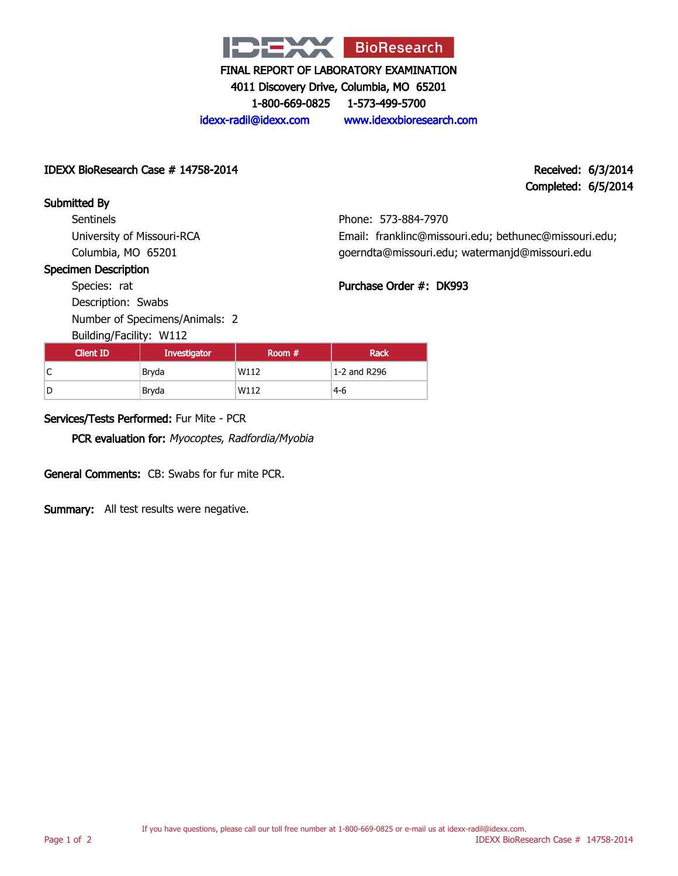

4011 Discovery Drive, Columbia, MO 65201

1-800-669-0825 1-573-499-5700

Phone: 573-884-7970

Purchase Order #: DK993

Email: franklinc@missouri.edu; bethunec@missouri.edu; goerndta@missouri.edu; watermanjd@missouri.edu

idexx-radil@idexx.com www.idexxbioresearch.com

#### IDEXX BioResearch Case # 14758-2014 Received: 6/3/2014

# Completed: 6/5/2014

#### Submitted By **Sentinels**

University of Missouri-RCA Columbia, MO 65201

#### Specimen Description

Species: rat Description: Swabs

Number of Specimens/Animals: 2

Building/Facility: W112

| Client ID | Investigator | Room $#$ | Rack         |
|-----------|--------------|----------|--------------|
| ◡         | Bryda        | W112     | 1-2 and R296 |
|           | Bryda        | W112     | $4-6$        |

### Services/Tests Performed: Fur Mite - PCR

PCR evaluation for: Myocoptes, Radfordia/Myobia

General Comments: CB: Swabs for fur mite PCR.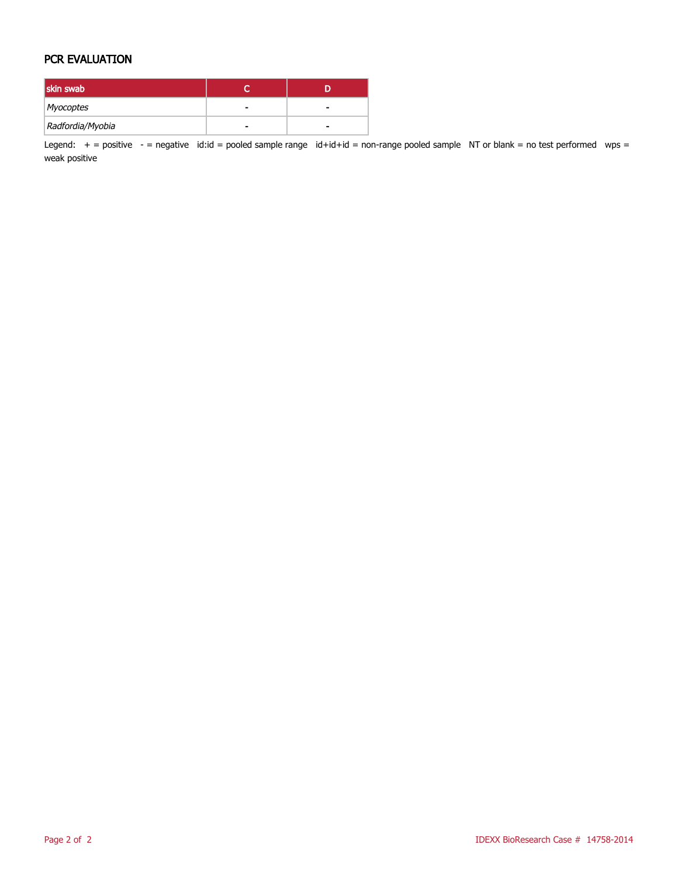#### PCR EVALUATION

| skin swab        |   |  |
|------------------|---|--|
| Myocoptes        |   |  |
| Radfordia/Myobia | - |  |

Legend:  $+$  = positive  $-$  = negative id:id = pooled sample range id+id+id = non-range pooled sample NT or blank = no test performed wps = weak positive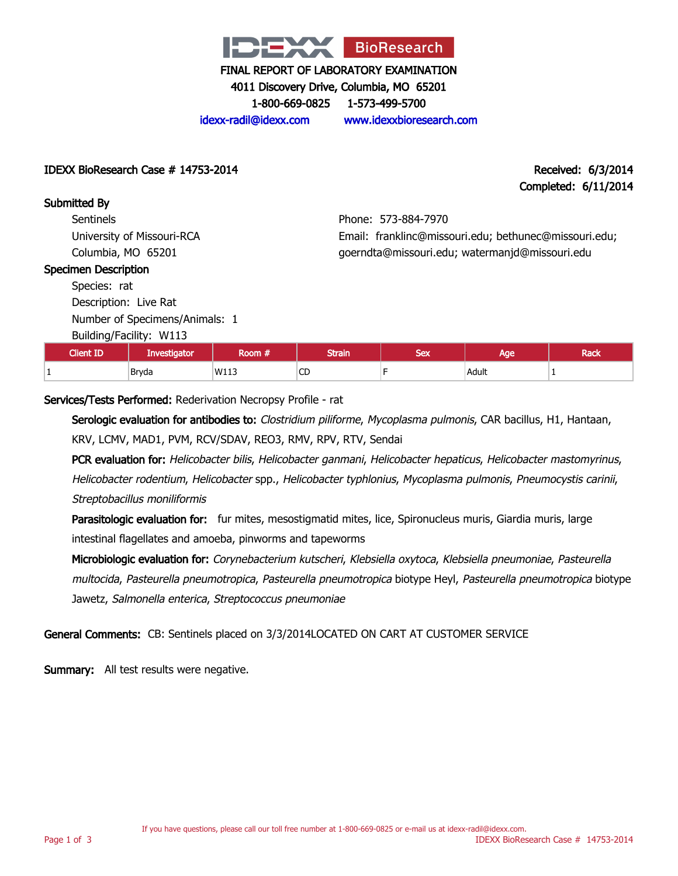

4011 Discovery Drive, Columbia, MO 65201

1-800-669-0825 1-573-499-5700

idexx-radil@idexx.com www.idexxbioresearch.com

IDEXX BioResearch Case # 14753-2014 Received: 6/3/2014

Completed: 6/11/2014

Submitted By

**Sentinels** University of Missouri-RCA Columbia, MO 65201

# Phone: 573-884-7970 Email: franklinc@missouri.edu; bethunec@missouri.edu; goerndta@missouri.edu; watermanjd@missouri.edu

#### Specimen Description

Species: rat Description: Live Rat Number of Specimens/Animals: 1

Building/Facility: W113

| <b>Client ID</b> | <b>Investigator</b> | om   | <b>Strain</b> | <b>CALL</b><br>ᇰᆮᆺ | മറല<br>we | Rack |
|------------------|---------------------|------|---------------|--------------------|-----------|------|
|                  | Bryda               | W113 | $\sim$<br>◡   |                    | Adult     |      |

Services/Tests Performed: Rederivation Necropsy Profile - rat

Serologic evaluation for antibodies to: Clostridium piliforme, Mycoplasma pulmonis, CAR bacillus, H1, Hantaan, KRV, LCMV, MAD1, PVM, RCV/SDAV, REO3, RMV, RPV, RTV, Sendai

PCR evaluation for: Helicobacter bilis, Helicobacter ganmani, Helicobacter hepaticus, Helicobacter mastomyrinus, Helicobacter rodentium, Helicobacter spp., Helicobacter typhlonius, Mycoplasma pulmonis, Pneumocystis carinii, Streptobacillus moniliformis

Parasitologic evaluation for: fur mites, mesostigmatid mites, lice, Spironucleus muris, Giardia muris, large intestinal flagellates and amoeba, pinworms and tapeworms

Microbiologic evaluation for: Corynebacterium kutscheri, Klebsiella oxytoca, Klebsiella pneumoniae, Pasteurella multocida, Pasteurella pneumotropica, Pasteurella pneumotropica biotype Heyl, Pasteurella pneumotropica biotype Jawetz, Salmonella enterica, Streptococcus pneumoniae

General Comments: CB: Sentinels placed on 3/3/2014LOCATED ON CART AT CUSTOMER SERVICE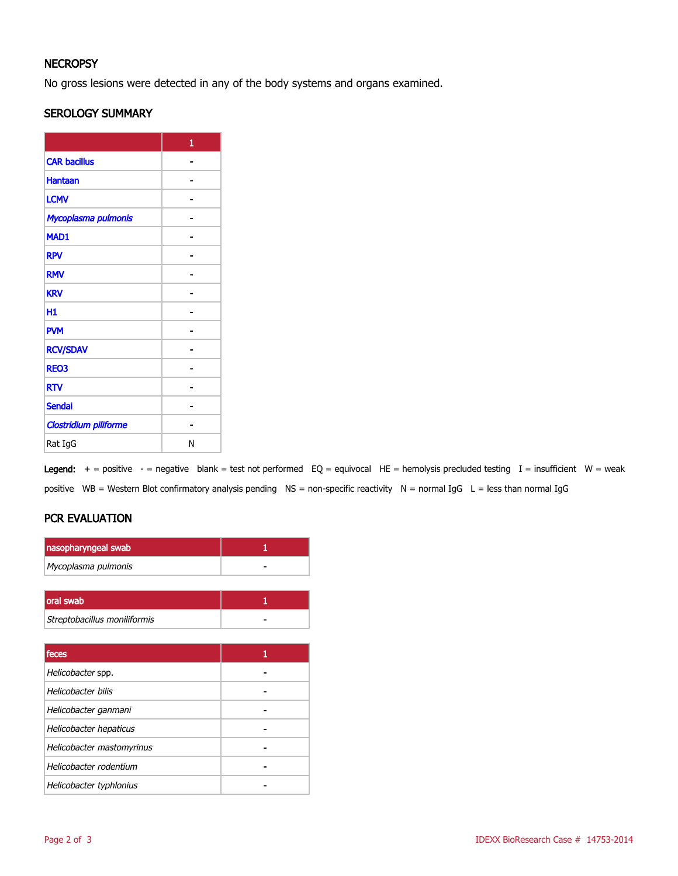# **NECROPSY**

No gross lesions were detected in any of the body systems and organs examined.

#### SEROLOGY SUMMARY

|                              | 1 |
|------------------------------|---|
| <b>CAR bacillus</b>          |   |
| <b>Hantaan</b>               |   |
| <b>LCMV</b>                  |   |
| Mycoplasma pulmonis          |   |
| MAD1                         |   |
| <b>RPV</b>                   |   |
| <b>RMV</b>                   |   |
| <b>KRV</b>                   |   |
| Н1                           |   |
| <b>PVM</b>                   |   |
| <b>RCV/SDAV</b>              |   |
| <b>REO3</b>                  |   |
| <b>RTV</b>                   |   |
| <b>Sendai</b>                |   |
| <b>Clostridium piliforme</b> |   |
| Rat IgG                      | Ν |

Legend:  $+$  = positive - = negative blank = test not performed EQ = equivocal HE = hemolysis precluded testing I = insufficient W = weak positive WB = Western Blot confirmatory analysis pending NS = non-specific reactivity N = normal IgG L = less than normal IgG

# PCR EVALUATION

| nasopharyngeal swab          |   |
|------------------------------|---|
| Mycoplasma pulmonis          |   |
|                              |   |
| oral swab                    | 1 |
| Streptobacillus moniliformis |   |
|                              |   |
| feces                        | 1 |
| Helicobacter spp.            |   |
| Helicobacter bilis           |   |
| Helicobacter ganmani         |   |
| Helicobacter hepaticus       |   |
| Helicobacter mastomyrinus    |   |
| Helicobacter rodentium       |   |
| Helicobacter typhlonius      |   |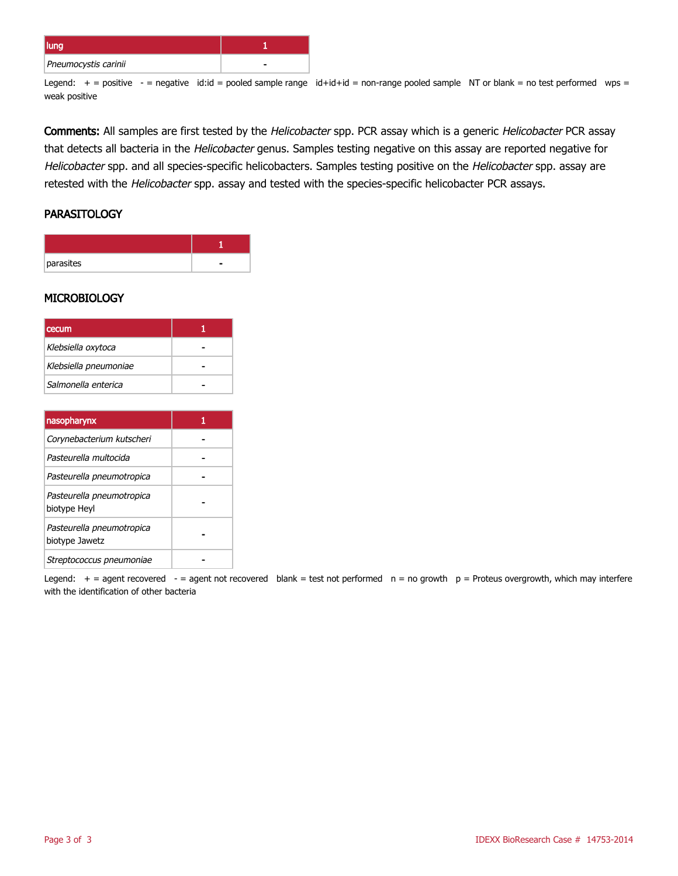| lung                 |  |
|----------------------|--|
| Pneumocystis carinii |  |

Legend:  $+$  = positive  $-$  = negative id:id = pooled sample range id+id+id = non-range pooled sample NT or blank = no test performed wps = weak positive

Comments: All samples are first tested by the Helicobacter spp. PCR assay which is a generic Helicobacter PCR assay that detects all bacteria in the Helicobacter genus. Samples testing negative on this assay are reported negative for Helicobacter spp. and all species-specific helicobacters. Samples testing positive on the Helicobacter spp. assay are retested with the Helicobacter spp. assay and tested with the species-specific helicobacter PCR assays.

#### **PARASITOLOGY**

| parasites |  |
|-----------|--|

#### **MICROBIOLOGY**

| <b>cecum</b>          |  |
|-----------------------|--|
| Klebsiella oxytoca    |  |
| Klebsiella pneumoniae |  |
| Salmonella enterica   |  |

| nasopharynx                                 |  |
|---------------------------------------------|--|
| Corynebacterium kutscheri                   |  |
| Pasteurella multocida                       |  |
| Pasteurella pneumotropica                   |  |
| Pasteurella pneumotropica<br>biotype Heyl   |  |
| Pasteurella pneumotropica<br>biotype Jawetz |  |
| Streptococcus pneumoniae                    |  |

Legend:  $+$  = agent recovered - = agent not recovered blank = test not performed  $n = no$  growth  $p =$  Proteus overgrowth, which may interfere with the identification of other bacteria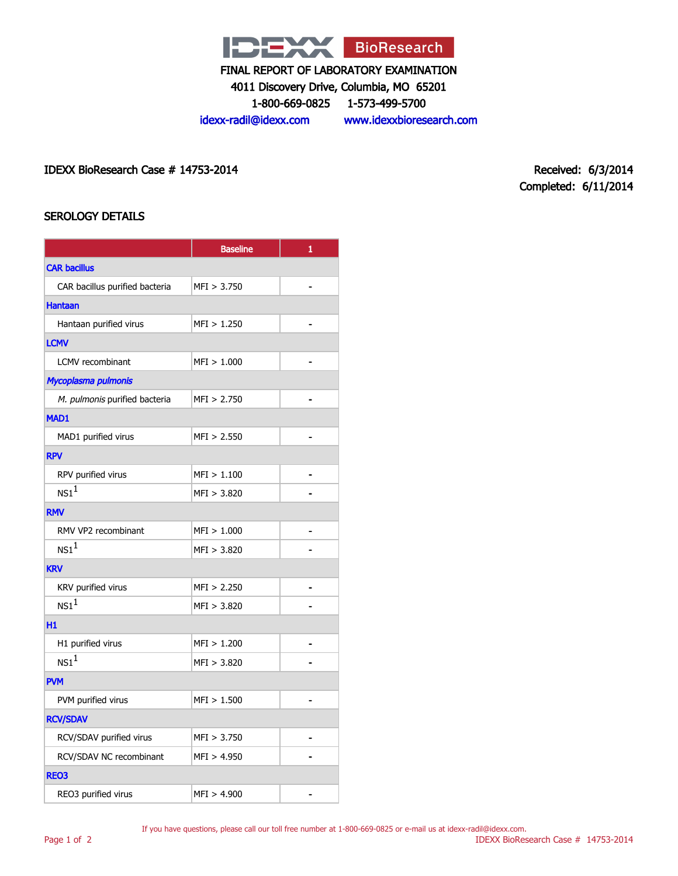

4011 Discovery Drive, Columbia, MO 65201

1-800-669-0825 1-573-499-5700

idexx-radil@idexx.com www.idexxbioresearch.com

IDEXX BioResearch Case # 14753-2014 Received: 6/3/2014

Completed: 6/11/2014

# SEROLOGY DETAILS

|                                | <b>Baseline</b> | 1              |  |  |  |  |
|--------------------------------|-----------------|----------------|--|--|--|--|
| <b>CAR bacillus</b>            |                 |                |  |  |  |  |
| CAR bacillus purified bacteria | MFI > 3.750     | $\blacksquare$ |  |  |  |  |
| <b>Hantaan</b>                 |                 |                |  |  |  |  |
| Hantaan purified virus         | MFI > 1.250     |                |  |  |  |  |
| <b>LCMV</b>                    |                 |                |  |  |  |  |
| <b>LCMV</b> recombinant        | MFI > 1.000     | $\blacksquare$ |  |  |  |  |
| Mycoplasma pulmonis            |                 |                |  |  |  |  |
| M. pulmonis purified bacteria  | MFI > 2.750     |                |  |  |  |  |
| <b>MAD1</b>                    |                 |                |  |  |  |  |
| MAD1 purified virus            | MFI > 2.550     | $\blacksquare$ |  |  |  |  |
| <b>RPV</b>                     |                 |                |  |  |  |  |
| RPV purified virus             | MFI > 1.100     |                |  |  |  |  |
| NS1 <sup>1</sup>               | MFI > 3.820     |                |  |  |  |  |
| <b>RMV</b>                     |                 |                |  |  |  |  |
| RMV VP2 recombinant            | MFI > 1.000     |                |  |  |  |  |
| NS1 <sup>1</sup>               | MFI > 3.820     |                |  |  |  |  |
| <b>KRV</b>                     |                 |                |  |  |  |  |
| KRV purified virus             | MFI > 2.250     |                |  |  |  |  |
| NS1 <sup>1</sup>               | MFI > 3.820     |                |  |  |  |  |
| H1                             |                 |                |  |  |  |  |
| H1 purified virus              | MFI > 1.200     |                |  |  |  |  |
| $NS1^1$                        | MFI > 3.820     |                |  |  |  |  |
| <b>PVM</b>                     |                 |                |  |  |  |  |
| PVM purified virus             | MFI > 1.500     |                |  |  |  |  |
| <b>RCV/SDAV</b>                |                 |                |  |  |  |  |
| RCV/SDAV purified virus        | MFI > 3.750     |                |  |  |  |  |
| RCV/SDAV NC recombinant        | MFI > 4.950     |                |  |  |  |  |
| <b>REO3</b>                    |                 |                |  |  |  |  |
| REO3 purified virus            | MFI > 4.900     |                |  |  |  |  |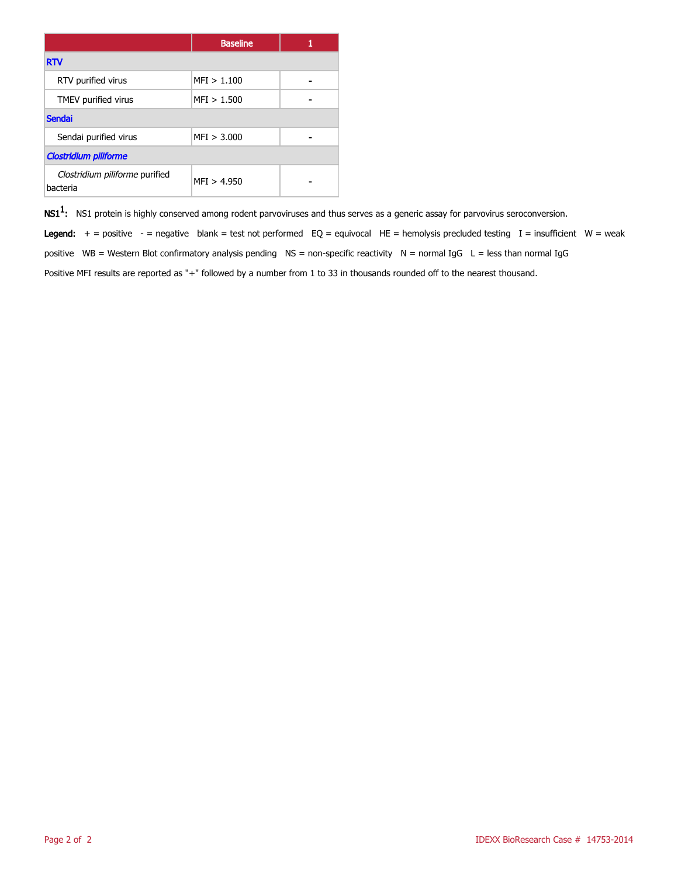|                                            | <b>Baseline</b> |  |  |
|--------------------------------------------|-----------------|--|--|
| <b>RTV</b>                                 |                 |  |  |
| RTV purified virus                         | MFI > 1.100     |  |  |
| TMEV purified virus                        | MFI > 1.500     |  |  |
| <b>Sendai</b>                              |                 |  |  |
| Sendai purified virus                      | MFI > 3.000     |  |  |
| <b>Clostridium piliforme</b>               |                 |  |  |
| Clostridium piliforme purified<br>bacteria | MFI > 4.950     |  |  |

 $\mathsf{NS1^1}\text{:}$  NS1 protein is highly conserved among rodent parvoviruses and thus serves as a generic assay for parvovirus seroconversion.

Legend:  $+$  = positive - = negative blank = test not performed EQ = equivocal HE = hemolysis precluded testing I = insufficient W = weak positive WB = Western Blot confirmatory analysis pending  $NS =$  non-specific reactivity  $N =$  normal IgG  $L =$  less than normal IgG Positive MFI results are reported as "+" followed by a number from 1 to 33 in thousands rounded off to the nearest thousand.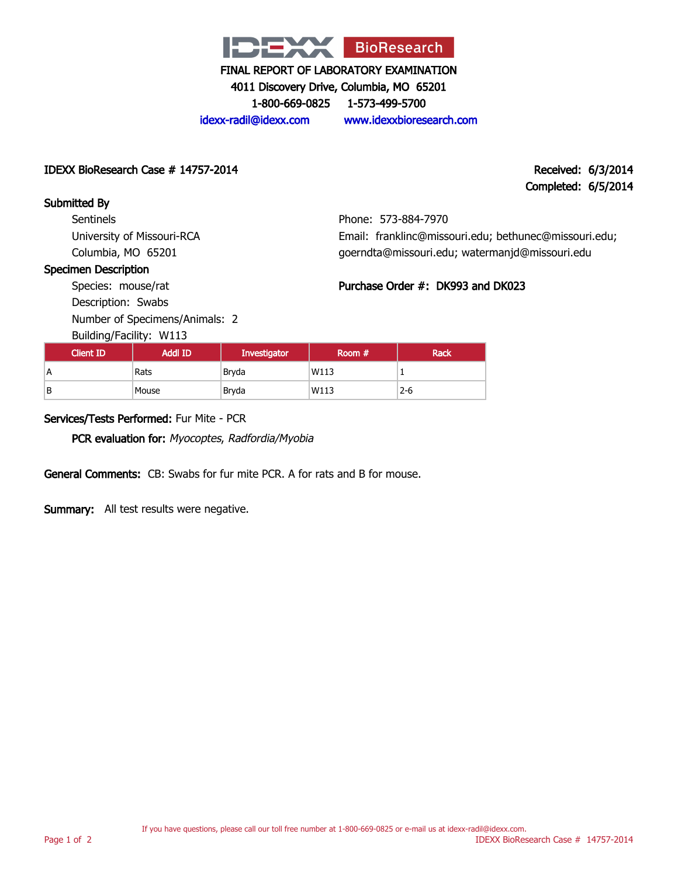

4011 Discovery Drive, Columbia, MO 65201

1-800-669-0825 1-573-499-5700

idexx-radil@idexx.com www.idexxbioresearch.com

IDEXX BioResearch Case # 14757-2014 Received: 6/3/2014

Completed: 6/5/2014

Submitted By **Sentinels** University of Missouri-RCA Columbia, MO 65201

Phone: 573-884-7970 Email: franklinc@missouri.edu; bethunec@missouri.edu; goerndta@missouri.edu; watermanjd@missouri.edu

Purchase Order #: DK993 and DK023

#### Specimen Description

Species: mouse/rat Description: Swabs Number of Specimens/Animals: 2

Building/Facility: W113

| Dununiyi uchiyi WIIJ |                |                     |          |             |  |
|----------------------|----------------|---------------------|----------|-------------|--|
| <b>Client ID</b>     | <b>Addl ID</b> | <b>Investigator</b> | Room $#$ | <b>Rack</b> |  |
| А                    | Rats           | Brvda               | W113     |             |  |
| B                    | Mouse          | Bryda               | W113     | $2 - 6$     |  |

### Services/Tests Performed: Fur Mite - PCR

PCR evaluation for: Myocoptes, Radfordia/Myobia

General Comments: CB: Swabs for fur mite PCR. A for rats and B for mouse.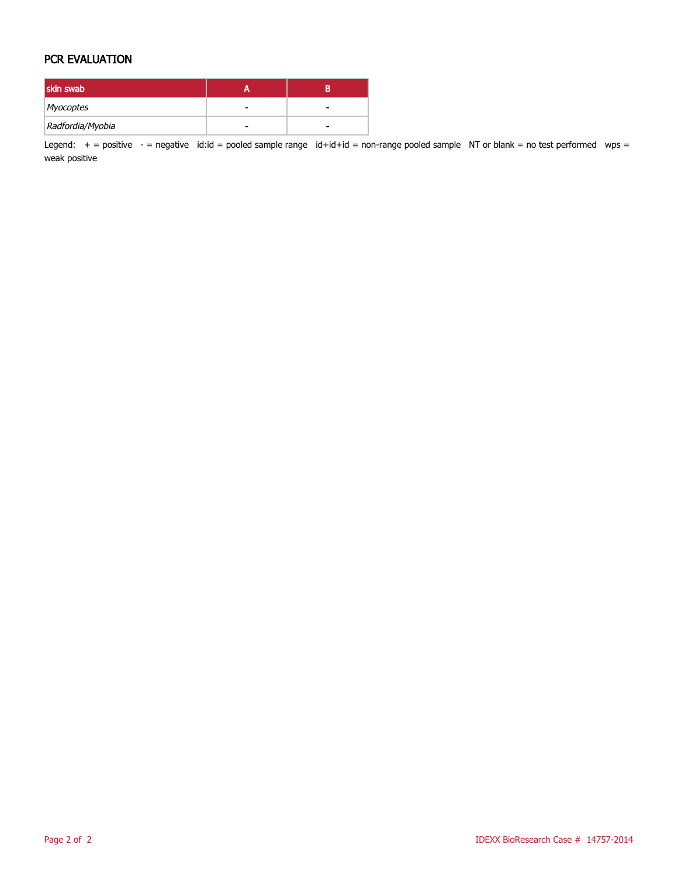#### PCR EVALUATION

| skin swab        |   |  |
|------------------|---|--|
| Myocoptes        |   |  |
| Radfordia/Myobia | - |  |

Legend:  $+$  = positive  $-$  = negative id:id = pooled sample range id+id+id = non-range pooled sample NT or blank = no test performed wps = weak positive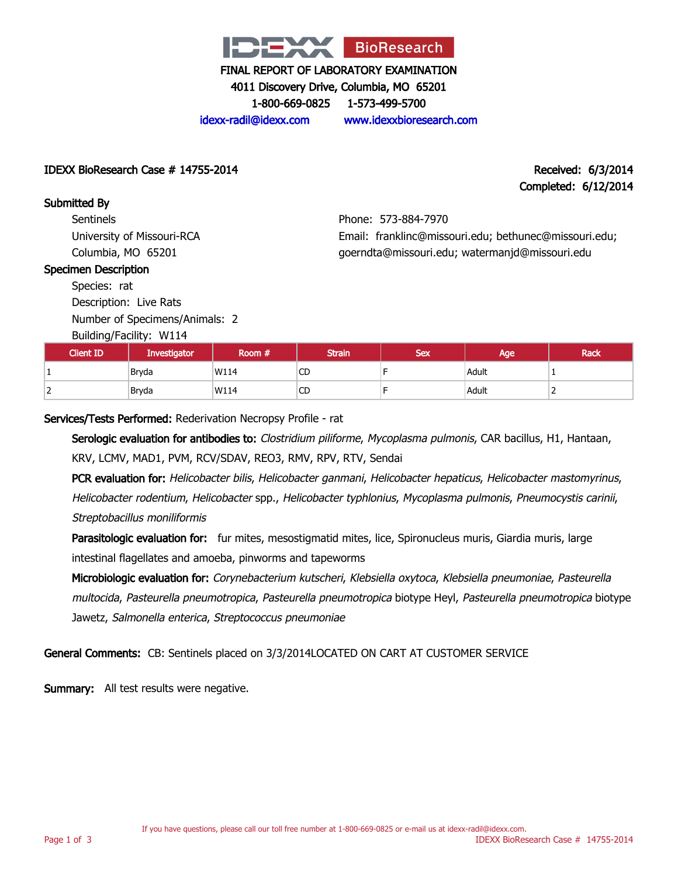

4011 Discovery Drive, Columbia, MO 65201

1-800-669-0825 1-573-499-5700

idexx-radil@idexx.com www.idexxbioresearch.com

IDEXX BioResearch Case # 14755-2014 Received: 6/3/2014

Completed: 6/12/2014

Submitted By **Sentinels** University of Missouri-RCA Columbia, MO 65201

# Phone: 573-884-7970 Email: franklinc@missouri.edu; bethunec@missouri.edu; goerndta@missouri.edu; watermanjd@missouri.edu

#### Specimen Description

Species: rat Description: Live Rats

Number of Specimens/Animals: 2

Building/Facility: W114

| <b>Client ID</b> | <b>Investigator</b> | Room # | <b>Strain</b> | <b>Sex</b> | Age   | <b>Rack</b> |
|------------------|---------------------|--------|---------------|------------|-------|-------------|
|                  | Bryda               | W114   | $\sim$<br>U   |            | Adult |             |
| <u>.</u>         | Bryda               | W114   | $\sim$<br>CΡ  |            | Adult | <b>_</b>    |

Services/Tests Performed: Rederivation Necropsy Profile - rat

Serologic evaluation for antibodies to: Clostridium piliforme, Mycoplasma pulmonis, CAR bacillus, H1, Hantaan, KRV, LCMV, MAD1, PVM, RCV/SDAV, REO3, RMV, RPV, RTV, Sendai

PCR evaluation for: Helicobacter bilis, Helicobacter ganmani, Helicobacter hepaticus, Helicobacter mastomyrinus, Helicobacter rodentium, Helicobacter spp., Helicobacter typhlonius, Mycoplasma pulmonis, Pneumocystis carinii, Streptobacillus moniliformis

Parasitologic evaluation for: fur mites, mesostigmatid mites, lice, Spironucleus muris, Giardia muris, large intestinal flagellates and amoeba, pinworms and tapeworms

Microbiologic evaluation for: Corynebacterium kutscheri, Klebsiella oxytoca, Klebsiella pneumoniae, Pasteurella multocida, Pasteurella pneumotropica, Pasteurella pneumotropica biotype Heyl, Pasteurella pneumotropica biotype Jawetz, Salmonella enterica, Streptococcus pneumoniae

General Comments: CB: Sentinels placed on 3/3/2014LOCATED ON CART AT CUSTOMER SERVICE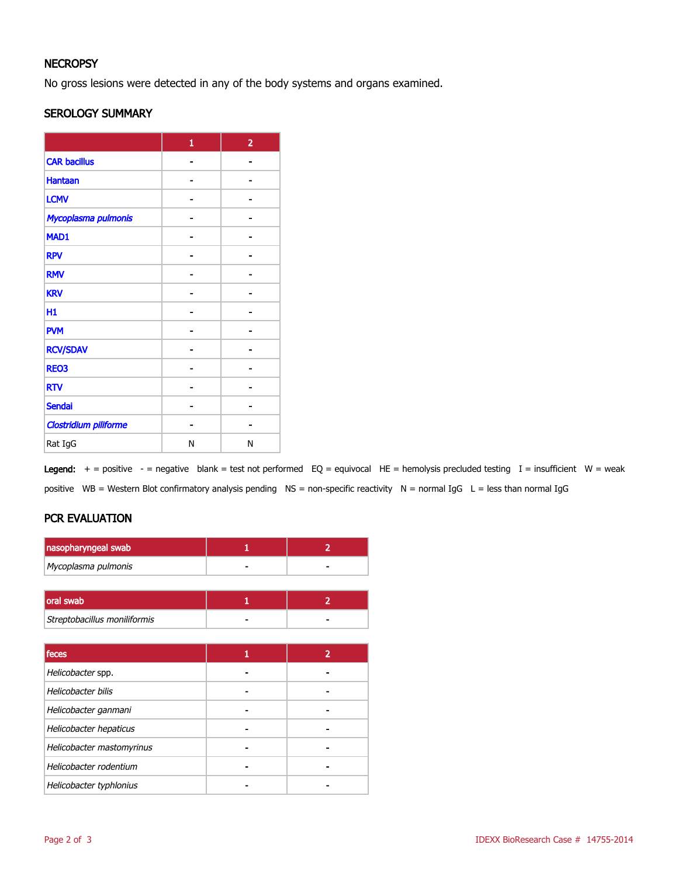#### **NECROPSY**

No gross lesions were detected in any of the body systems and organs examined.

#### SEROLOGY SUMMARY

|                              | $\mathbf{1}$ | $\overline{2}$ |
|------------------------------|--------------|----------------|
| <b>CAR bacillus</b>          |              |                |
| <b>Hantaan</b>               |              |                |
| <b>LCMV</b>                  |              |                |
| Mycoplasma pulmonis          |              |                |
| MAD1                         |              |                |
| <b>RPV</b>                   |              |                |
| <b>RMV</b>                   |              |                |
| <b>KRV</b>                   |              |                |
| H1                           |              |                |
| <b>PVM</b>                   |              |                |
| <b>RCV/SDAV</b>              |              |                |
| <b>REO3</b>                  |              |                |
| <b>RTV</b>                   |              |                |
| <b>Sendai</b>                |              |                |
| <b>Clostridium piliforme</b> |              |                |
| Rat IgG                      | Ν            | N              |

Legend:  $+$  = positive - = negative blank = test not performed EQ = equivocal HE = hemolysis precluded testing I = insufficient W = weak positive WB = Western Blot confirmatory analysis pending NS = non-specific reactivity N = normal IgG L = less than normal IgG

# PCR EVALUATION

| nasopharyngeal swab |   |
|---------------------|---|
| Mycoplasma pulmonis | - |
|                     |   |

| oral swab                    |   |
|------------------------------|---|
| Streptobacillus moniliformis | - |

| feces                     | 2 |
|---------------------------|---|
| Helicobacter spp.         |   |
| Helicobacter bilis        |   |
| Helicobacter ganmani      |   |
| Helicobacter hepaticus    |   |
| Helicobacter mastomyrinus |   |
| Helicobacter rodentium    |   |
| Helicobacter typhlonius   |   |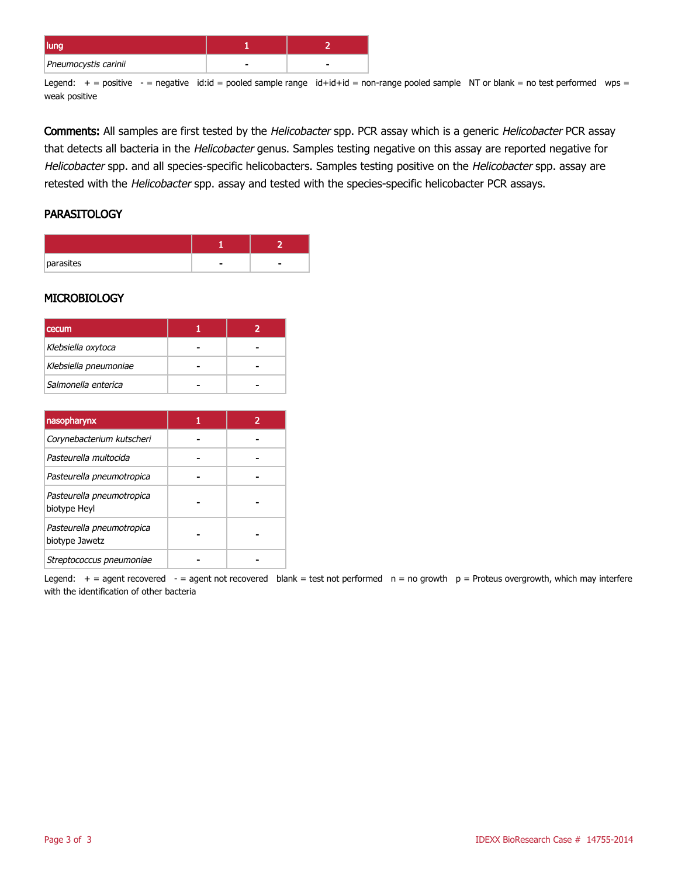| luliy                |  |
|----------------------|--|
| Pneumocystis carinii |  |

Legend:  $+$  = positive  $-$  = negative id:id = pooled sample range id+id+id = non-range pooled sample NT or blank = no test performed wps = weak positive

Comments: All samples are first tested by the Helicobacter spp. PCR assay which is a generic Helicobacter PCR assay that detects all bacteria in the Helicobacter genus. Samples testing negative on this assay are reported negative for Helicobacter spp. and all species-specific helicobacters. Samples testing positive on the Helicobacter spp. assay are retested with the Helicobacter spp. assay and tested with the species-specific helicobacter PCR assays.

#### **PARASITOLOGY**

| parasites |  |
|-----------|--|

#### **MICROBIOLOGY**

| <b>cecum</b>          |  |
|-----------------------|--|
| Klebsiella oxytoca    |  |
| Klebsiella pneumoniae |  |
| Salmonella enterica   |  |

| nasopharynx                                 |  |
|---------------------------------------------|--|
| Corynebacterium kutscheri                   |  |
| Pasteurella multocida                       |  |
| Pasteurella pneumotropica                   |  |
| Pasteurella pneumotropica<br>biotype Heyl   |  |
| Pasteurella pneumotropica<br>biotype Jawetz |  |
| Streptococcus pneumoniae                    |  |

Legend:  $+$  = agent recovered - = agent not recovered blank = test not performed  $n = no$  growth  $p =$  Proteus overgrowth, which may interfere with the identification of other bacteria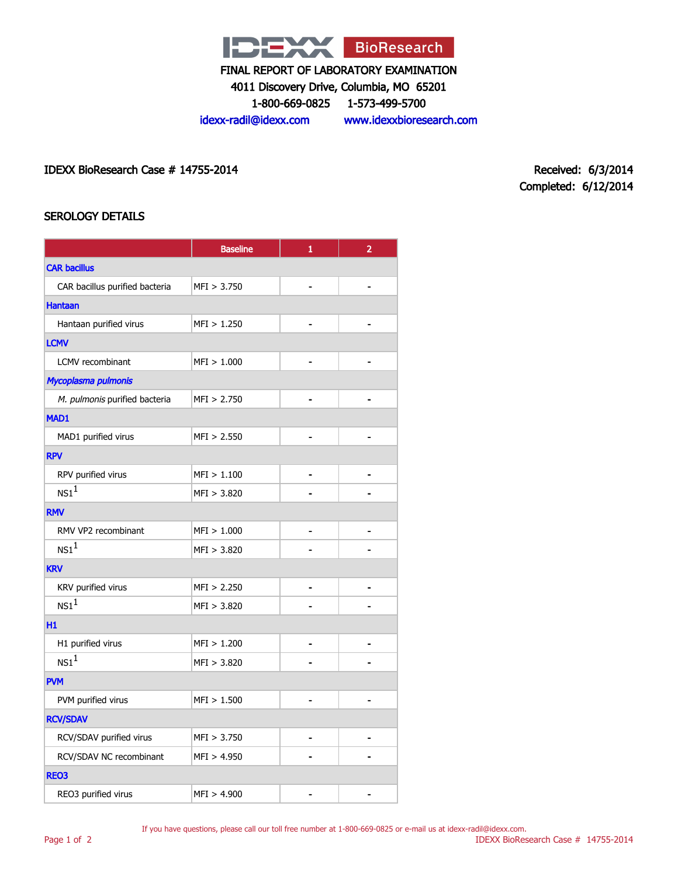

4011 Discovery Drive, Columbia, MO 65201

1-800-669-0825 1-573-499-5700

idexx-radil@idexx.com www.idexxbioresearch.com

IDEXX BioResearch Case # 14755-2014 Received: 6/3/2014

Completed: 6/12/2014

# SEROLOGY DETAILS

|                                | <b>Baseline</b> | $\mathbf{1}$   | $\overline{2}$ |  |  |
|--------------------------------|-----------------|----------------|----------------|--|--|
| <b>CAR bacillus</b>            |                 |                |                |  |  |
| CAR bacillus purified bacteria | MFI > 3.750     |                |                |  |  |
| <b>Hantaan</b>                 |                 |                |                |  |  |
| Hantaan purified virus         | MFI > 1.250     |                |                |  |  |
| <b>LCMV</b>                    |                 |                |                |  |  |
| LCMV recombinant               | MFI > 1.000     |                |                |  |  |
| Mycoplasma pulmonis            |                 |                |                |  |  |
| M. pulmonis purified bacteria  | MFI > 2.750     |                |                |  |  |
| MAD1                           |                 |                |                |  |  |
| MAD1 purified virus            | MFI > 2.550     |                |                |  |  |
| <b>RPV</b>                     |                 |                |                |  |  |
| RPV purified virus             | MFI > 1.100     |                |                |  |  |
| NS1 <sup>1</sup>               | MFI > 3.820     |                |                |  |  |
| <b>RMV</b>                     |                 |                |                |  |  |
| RMV VP2 recombinant            | MFI > 1.000     |                |                |  |  |
| $NS1^1$                        | MFI > 3.820     |                |                |  |  |
| <b>KRV</b>                     |                 |                |                |  |  |
| KRV purified virus             | MFI > 2.250     | $\blacksquare$ | $\blacksquare$ |  |  |
| NS1 <sup>1</sup>               | MFI > 3.820     |                |                |  |  |
| H1                             |                 |                |                |  |  |
| H1 purified virus              | MFI > 1.200     |                |                |  |  |
| NS1 <sup>1</sup>               | MFI > 3.820     |                |                |  |  |
| <b>PVM</b>                     |                 |                |                |  |  |
| PVM purified virus             | MFI > 1.500     |                |                |  |  |
| <b>RCV/SDAV</b>                |                 |                |                |  |  |
| RCV/SDAV purified virus        | MFI > 3.750     | $\blacksquare$ |                |  |  |
| RCV/SDAV NC recombinant        | MFI > 4.950     |                |                |  |  |
| REO3                           |                 |                |                |  |  |
| REO3 purified virus            | MFI > 4.900     |                |                |  |  |

If you have questions, please call our toll free number at 1-800-669-0825 or e-mail us at idexx-radil@idexx.com.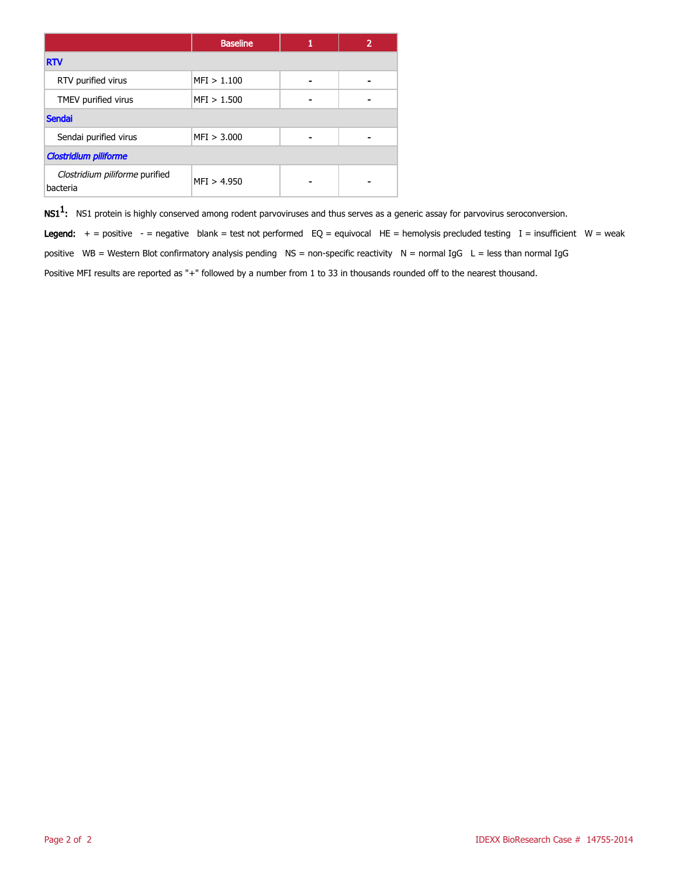|                                            | <b>Baseline</b> |   |  |
|--------------------------------------------|-----------------|---|--|
| <b>RTV</b>                                 |                 |   |  |
| RTV purified virus                         | MFI > 1.100     | - |  |
| TMEV purified virus                        | MFI > 1.500     |   |  |
| <b>Sendai</b>                              |                 |   |  |
| Sendai purified virus                      | MFI > 3.000     |   |  |
| <b>Clostridium piliforme</b>               |                 |   |  |
| Clostridium piliforme purified<br>bacteria | MFI > 4.950     |   |  |

 $\mathsf{NS1^1}\text{:}$  NS1 protein is highly conserved among rodent parvoviruses and thus serves as a generic assay for parvovirus seroconversion.

Legend:  $+$  = positive - = negative blank = test not performed EQ = equivocal HE = hemolysis precluded testing I = insufficient W = weak positive WB = Western Blot confirmatory analysis pending NS = non-specific reactivity N = normal IgG L = less than normal IgG Positive MFI results are reported as "+" followed by a number from 1 to 33 in thousands rounded off to the nearest thousand.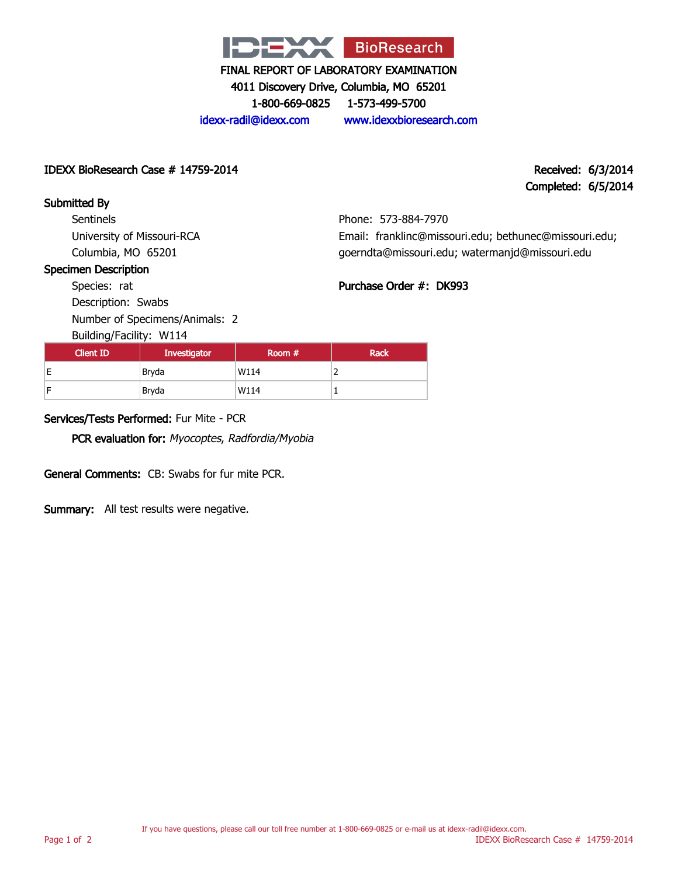

4011 Discovery Drive, Columbia, MO 65201

1-800-669-0825 1-573-499-5700

idexx-radil@idexx.com www.idexxbioresearch.com

Phone: 573-884-7970

Purchase Order #: DK993

Email: franklinc@missouri.edu; bethunec@missouri.edu; goerndta@missouri.edu; watermanjd@missouri.edu

#### IDEXX BioResearch Case # 14759-2014 Received: 6/3/2014

# Completed: 6/5/2014

# Submitted By

**Sentinels** University of Missouri-RCA Columbia, MO 65201

#### Specimen Description

Species: rat

Description: Swabs Number of Specimens/Animals: 2

Building/Facility: W114

| <b>Dununiyi uchiyi</b> WIII |              |        |             |
|-----------------------------|--------------|--------|-------------|
| <b>Client ID</b>            | Investigator | Room # | <b>Rack</b> |
| E                           | Bryda        | W114   | -           |
| E                           | Bryda        | W114   |             |

# Services/Tests Performed: Fur Mite - PCR

PCR evaluation for: Myocoptes, Radfordia/Myobia

General Comments: CB: Swabs for fur mite PCR.